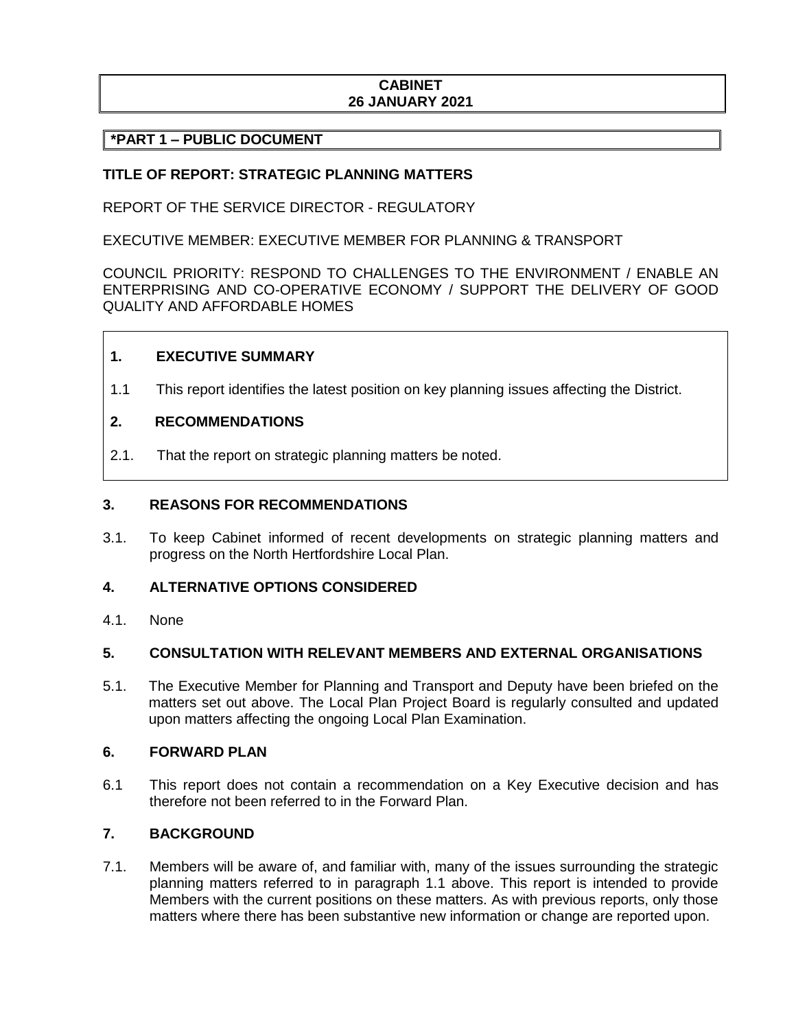## **CABINET 26 JANUARY 2021**

# **\*PART 1 – PUBLIC DOCUMENT**

## **TITLE OF REPORT: STRATEGIC PLANNING MATTERS**

REPORT OF THE SERVICE DIRECTOR - REGULATORY

EXECUTIVE MEMBER: EXECUTIVE MEMBER FOR PLANNING & TRANSPORT

COUNCIL PRIORITY: RESPOND TO CHALLENGES TO THE ENVIRONMENT / ENABLE AN ENTERPRISING AND CO-OPERATIVE ECONOMY / SUPPORT THE DELIVERY OF GOOD QUALITY AND AFFORDABLE HOMES

### **1. EXECUTIVE SUMMARY**

1.1 This report identifies the latest position on key planning issues affecting the District.

### **2. RECOMMENDATIONS**

2.1. That the report on strategic planning matters be noted.

#### **3. REASONS FOR RECOMMENDATIONS**

3.1. To keep Cabinet informed of recent developments on strategic planning matters and progress on the North Hertfordshire Local Plan.

### **4. ALTERNATIVE OPTIONS CONSIDERED**

4.1. None

### **5. CONSULTATION WITH RELEVANT MEMBERS AND EXTERNAL ORGANISATIONS**

5.1. The Executive Member for Planning and Transport and Deputy have been briefed on the matters set out above. The Local Plan Project Board is regularly consulted and updated upon matters affecting the ongoing Local Plan Examination.

#### **6. FORWARD PLAN**

6.1 This report does not contain a recommendation on a Key Executive decision and has therefore not been referred to in the Forward Plan.

## **7. BACKGROUND**

7.1. Members will be aware of, and familiar with, many of the issues surrounding the strategic planning matters referred to in paragraph 1.1 above. This report is intended to provide Members with the current positions on these matters. As with previous reports, only those matters where there has been substantive new information or change are reported upon.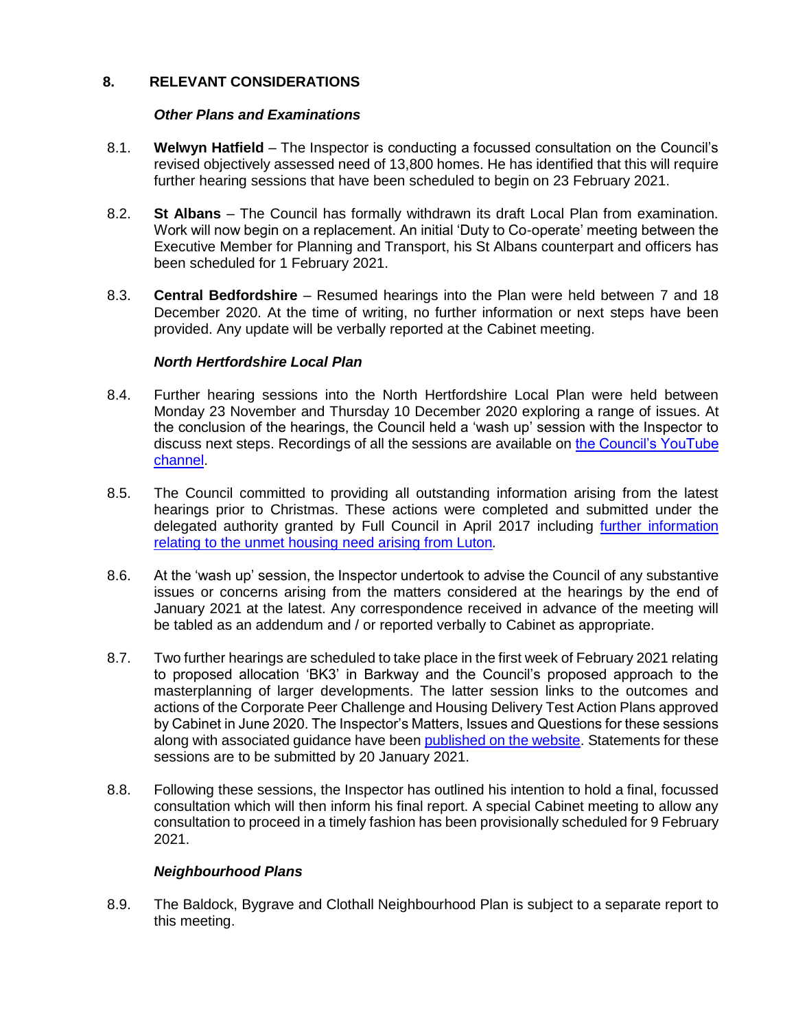## **8. RELEVANT CONSIDERATIONS**

### *Other Plans and Examinations*

- 8.1. **Welwyn Hatfield** The Inspector is conducting a focussed consultation on the Council's revised objectively assessed need of 13,800 homes. He has identified that this will require further hearing sessions that have been scheduled to begin on 23 February 2021.
- 8.2. **St Albans** The Council has formally withdrawn its draft Local Plan from examination. Work will now begin on a replacement. An initial 'Duty to Co-operate' meeting between the Executive Member for Planning and Transport, his St Albans counterpart and officers has been scheduled for 1 February 2021.
- 8.3. **Central Bedfordshire** Resumed hearings into the Plan were held between 7 and 18 December 2020. At the time of writing, no further information or next steps have been provided. Any update will be verbally reported at the Cabinet meeting.

# *North Hertfordshire Local Plan*

- 8.4. Further hearing sessions into the North Hertfordshire Local Plan were held between Monday 23 November and Thursday 10 December 2020 exploring a range of issues. At the conclusion of the hearings, the Council held a 'wash up' session with the Inspector to discuss next steps. Recordings of all the sessions are available on the Council's YouTube [channel.](https://www.youtube.com/c/North-hertsGovUk/videos)
- 8.5. The Council committed to providing all outstanding information arising from the latest hearings prior to Christmas. These actions were completed and submitted under the delegated authority granted by Full Council in April 2017 including [further information](https://www.north-herts.gov.uk/files/ed224-socg-re-housing-need-and-delivery-luton-bcpdf)  [relating to the unmet housing need arising from Luton](https://www.north-herts.gov.uk/files/ed224-socg-re-housing-need-and-delivery-luton-bcpdf)*.*
- 8.6. At the 'wash up' session, the Inspector undertook to advise the Council of any substantive issues or concerns arising from the matters considered at the hearings by the end of January 2021 at the latest. Any correspondence received in advance of the meeting will be tabled as an addendum and / or reported verbally to Cabinet as appropriate.
- 8.7. Two further hearings are scheduled to take place in the first week of February 2021 relating to proposed allocation 'BK3' in Barkway and the Council's proposed approach to the masterplanning of larger developments. The latter session links to the outcomes and actions of the Corporate Peer Challenge and Housing Delivery Test Action Plans approved by Cabinet in June 2020. The Inspector's Matters, Issues and Questions for these sessions along with associated guidance have bee[n published on the website.](https://www.north-herts.gov.uk/planning/planning-policy/local-plan/local-plan-examination/examination-documents) Statements for these sessions are to be submitted by 20 January 2021.
- 8.8. Following these sessions, the Inspector has outlined his intention to hold a final, focussed consultation which will then inform his final report. A special Cabinet meeting to allow any consultation to proceed in a timely fashion has been provisionally scheduled for 9 February 2021.

## *Neighbourhood Plans*

8.9. The Baldock, Bygrave and Clothall Neighbourhood Plan is subject to a separate report to this meeting.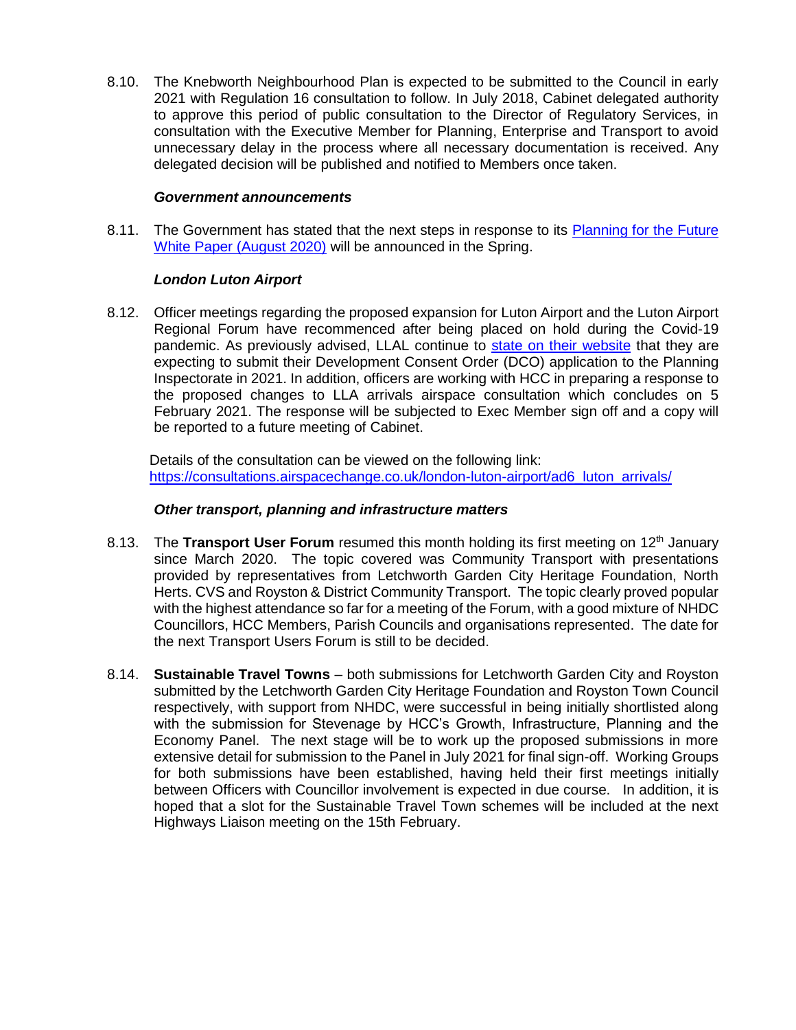8.10. The Knebworth Neighbourhood Plan is expected to be submitted to the Council in early 2021 with Regulation 16 consultation to follow. In July 2018, Cabinet delegated authority to approve this period of public consultation to the Director of Regulatory Services, in consultation with the Executive Member for Planning, Enterprise and Transport to avoid unnecessary delay in the process where all necessary documentation is received. Any delegated decision will be published and notified to Members once taken.

### *Government announcements*

8.11. The Government has stated that the next steps in response to its Planning for the Future [White Paper \(August 2020\)](https://www.gov.uk/government/news/launch-of-planning-for-the-future-consultation-to-reform-the-planning-system) will be announced in the Spring.

## *London Luton Airport*

8.12. Officer meetings regarding the proposed expansion for Luton Airport and the Luton Airport Regional Forum have recommenced after being placed on hold during the Covid-19 pandemic. As previously advised, LLAL continue to state [on their website](https://futureluton.llal.org.uk/) that they are expecting to submit their Development Consent Order (DCO) application to the Planning Inspectorate in 2021. In addition, officers are working with HCC in preparing a response to the proposed changes to LLA arrivals airspace consultation which concludes on 5 February 2021. The response will be subjected to Exec Member sign off and a copy will be reported to a future meeting of Cabinet.

Details of the consultation can be viewed on the following link: [https://consultations.airspacechange.co.uk/london-luton-airport/ad6\\_luton\\_arrivals/](https://consultations.airspacechange.co.uk/london-luton-airport/ad6_luton_arrivals/)

#### *Other transport, planning and infrastructure matters*

- 8.13. The **Transport User Forum** resumed this month holding its first meeting on 12<sup>th</sup> January since March 2020. The topic covered was Community Transport with presentations provided by representatives from Letchworth Garden City Heritage Foundation, North Herts. CVS and Royston & District Community Transport. The topic clearly proved popular with the highest attendance so far for a meeting of the Forum, with a good mixture of NHDC Councillors, HCC Members, Parish Councils and organisations represented. The date for the next Transport Users Forum is still to be decided.
- 8.14. **Sustainable Travel Towns** both submissions for Letchworth Garden City and Royston submitted by the Letchworth Garden City Heritage Foundation and Royston Town Council respectively, with support from NHDC, were successful in being initially shortlisted along with the submission for Stevenage by HCC's Growth, Infrastructure, Planning and the Economy Panel. The next stage will be to work up the proposed submissions in more extensive detail for submission to the Panel in July 2021 for final sign-off. Working Groups for both submissions have been established, having held their first meetings initially between Officers with Councillor involvement is expected in due course. In addition, it is hoped that a slot for the Sustainable Travel Town schemes will be included at the next Highways Liaison meeting on the 15th February.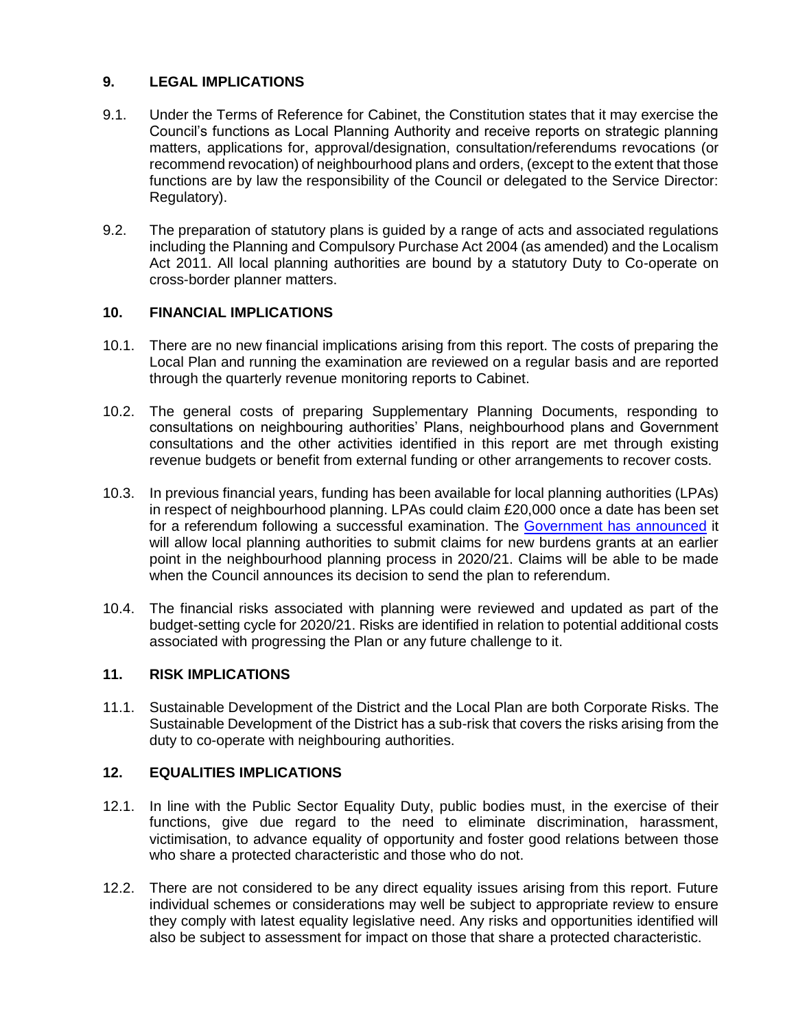# **9. LEGAL IMPLICATIONS**

- 9.1. Under the Terms of Reference for Cabinet, the Constitution states that it may exercise the Council's functions as Local Planning Authority and receive reports on strategic planning matters, applications for, approval/designation, consultation/referendums revocations (or recommend revocation) of neighbourhood plans and orders, (except to the extent that those functions are by law the responsibility of the Council or delegated to the Service Director: Regulatory).
- 9.2. The preparation of statutory plans is guided by a range of acts and associated regulations including the Planning and Compulsory Purchase Act 2004 (as amended) and the Localism Act 2011. All local planning authorities are bound by a statutory Duty to Co-operate on cross-border planner matters.

# **10. FINANCIAL IMPLICATIONS**

- 10.1. There are no new financial implications arising from this report. The costs of preparing the Local Plan and running the examination are reviewed on a regular basis and are reported through the quarterly revenue monitoring reports to Cabinet.
- 10.2. The general costs of preparing Supplementary Planning Documents, responding to consultations on neighbouring authorities' Plans, neighbourhood plans and Government consultations and the other activities identified in this report are met through existing revenue budgets or benefit from external funding or other arrangements to recover costs.
- 10.3. In previous financial years, funding has been available for local planning authorities (LPAs) in respect of neighbourhood planning. LPAs could claim £20,000 once a date has been set for a referendum following a successful examination. The [Government has announced](https://neighbourhoodplanning.org/wp-content/uploads/FAQ-on-Covid-19-Neigbourhood-Planning.pdf) it will allow local planning authorities to submit claims for new burdens grants at an earlier point in the neighbourhood planning process in 2020/21. Claims will be able to be made when the Council announces its decision to send the plan to referendum.
- 10.4. The financial risks associated with planning were reviewed and updated as part of the budget-setting cycle for 2020/21. Risks are identified in relation to potential additional costs associated with progressing the Plan or any future challenge to it.

## **11. RISK IMPLICATIONS**

11.1. Sustainable Development of the District and the Local Plan are both Corporate Risks. The Sustainable Development of the District has a sub-risk that covers the risks arising from the duty to co-operate with neighbouring authorities.

# **12. EQUALITIES IMPLICATIONS**

- 12.1. In line with the Public Sector Equality Duty, public bodies must, in the exercise of their functions, give due regard to the need to eliminate discrimination, harassment, victimisation, to advance equality of opportunity and foster good relations between those who share a protected characteristic and those who do not.
- 12.2. There are not considered to be any direct equality issues arising from this report. Future individual schemes or considerations may well be subject to appropriate review to ensure they comply with latest equality legislative need. Any risks and opportunities identified will also be subject to assessment for impact on those that share a protected characteristic.